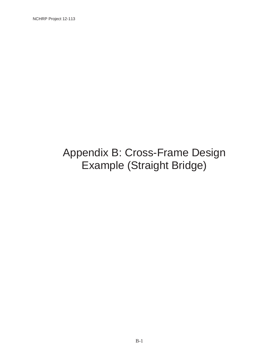# Appendix B: Cross-Frame Design Example (Straight Bridge)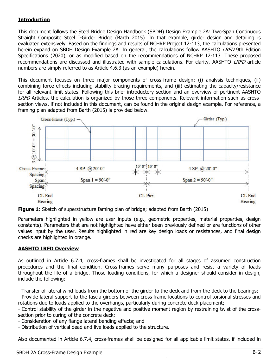### **Introduction**

This document follows the Steel Bridge Design Handbook (SBDH) Design Example 2A: Two-Span Continuous Straight Composite Steel I-Girder Bridge (Barth 2015). In that example, girder design and detailing is evaluated extensively. Based on the findings and results of NCHRP Project 12-113, the calculations presented herein expand on SBDH Design Example 2A. In general, the calculations follow AASHTO *LRFD* 9th Edition Specifications (2020), or as modified based on the recommendations of NCHRP 12-113. These proposed recommendations are discussed and illustrated with sample calculations. For clarity, AASHTO LRFD article numbers are simply referred to as Article 4.6.3 (as an example) herein.

This document focuses on three major components of cross-frame design: (i) analysis techniques, (ii) combining force effects including stability bracing requirements, and (iii) estimating the capacity/resistance for all relevant limit states. Following this brief introductory section and an overview of pertinent AASHTO LRFD Articles, the calculation is organized by those three components. Relevant information such as crosssection views, if not included in this document, can be found in the original design example. For reference, a framing plan adapted from Barth (2015) is provided below.



**Figure 1:** Sketch of superstructure faming plan of bridge; adapted from Barth (2015)

Parameters highlighted in yellow are user inputs (e.g., geometric properties, material properties, design constants). Parameters that are not highlighted have either been previously defined or are functions of other values input by the user. Results highlighted in red are key design loads or resistances, and final design checks are highlighted in orange.

### AASHTO LRFD Overview

As outlined in Article 6.7.4, cross-frames shall be investigated for all stages of assumed construction procedures and the final condition. Cross-frames serve many purposes and resist a variety of loads throughout the life of a bridge. Those loading conditions, for which a designer should consider in design, include the following:

- Transfer of lateral wind loads from the bottom of the girder to the deck and from the deck to the bearings;

- Provide lateral support to the fascia girders between cross-frame locations to control torsional stresses and rotations due to loads applied to the overhangs, particularly during concrete deck placement;

- Control stability of the girder in the negative and positive moment region by restraining twist of the crosssection prior to curing of the concrete deck;

- Consideration of any flange lateral bending effects; and

- Distribution of vertical dead and live loads applied to the structure.

Also documented in Article 6.7.4, cross-frames shall be designed for all applicable limit states, if included in  $\_$  , and the set of the set of the set of the set of the set of the set of the set of the set of the set of the set of the set of the set of the set of the set of the set of the set of the set of the set of the set of th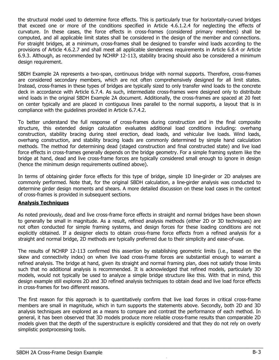the structural model used to determine force effects. This is particularly true for horizontally-curved bridges that exceed one or more of the conditions specified in Article 4.6.1.2.4 for neglecting the effects of curvature. In these cases, the force effects in cross-frames (considered primary members) shall be computed, and all applicable limit states shall be considered in the design of the member and connections. For straight bridges, at a minimum, cross-frames shall be designed to transfer wind loads according to the provisions of Article 4.6.2.7 and shall meet all applicable slenderness requirements in Article 6.8.4 or Article 6.9.3. Although, as recommended by NCHRP 12-113, stability bracing should also be considered a minimum design requirement.

SBDH Example 2A represents a two-span, continuous bridge with normal supports. Therefore, cross-frames are considered secondary members, which are not often comprehensively designed for all limit states. Instead, cross-frames in these types of bridges are typically sized to only transfer wind loads to the concrete deck in accordance with Article 6.7.4. As such, intermediate cross-frames were designed only to distribute wind loads in the original SBDH Example 2A document. Additionally, the cross-frames are spaced at 20 feet on center typically and are placed in contiguous lines parallel to the normal supports, a layout that is in compliance with the guidelines provided in Article 6.7.4.2.

To better understand the full response of cross-frames during construction and in the final composite structure, this extended design calculation evaluates additional load conditions including: overhang construction, stability bracing during steel erection, dead loads, and vehicular live loads. Wind loads, overhang construction, and stability bracing loads are commonly determined by simple hand calculation methods. The method for determining dead (staged construction and final constructed state) and live load force effects in cross-frames generally depends on the bridge geometry. For a simple framing system like the bridge at hand, dead and live cross-frame forces are typically considered small enough to ignore in design (hence the minimum design requirements outlined above).

In terms of obtaining girder force effects for this type of bridge, simple 1D line-girder or 2D analyses are commonly performed. Note that, for the original SBDH calculation, a line-girder analysis was conducted to determine girder design moments and shears. A more detailed discussion on these load cases in the context of cross-frames is provided in subsequent sections.

#### **Analysis Techniques**

As noted previously, dead and live cross-frame force effects in straight and normal bridges have been shown to generally be small in magnitude. As a result, refined analysis methods (either 2D or 3D techniques) are not often conducted for simple framing systems, and design forces for these loading conditions are not explicitly obtained. If a designer elects to obtain cross-frame force effects from a refined analysis for a straight and normal bridge, 2D methods are typically preferred due to their simplicity and ease-of-use.

The results of NCHRP 12-113 confirmed this assertion by establishing geometric limits (i.e., based on the skew and connectivity index) on when live load cross-frame forces are substantial enough to warrant a refined analysis. The bridge at hand, given its straight and normal framing plan, does not satisfy those limits such that no additional analysis is recommended. It is acknowledged that refined models, particularly 3D models, would not typically be used to analyze a simple bridge structure like this. With that in mind, this design example still explores 2D and 3D refined analysis techniques to obtain dead and live load force effects in cross-frames for two different reasons.

The first reason for this approach is to quantitatively confirm that live load forces in critical cross-frame members are small in magnitude, which in turn supports the statements above. Secondly, both 2D and 3D analysis techniques are explored as a means to compare and contrast the performance of each method. In general, it has been observed that 3D models produce more reliable cross-frame results than comparable 2D models given that the depth of the superstructure is explicitly considered and that they do not rely on overly simplistic postprocessing tools.

Non-Commercial Use Only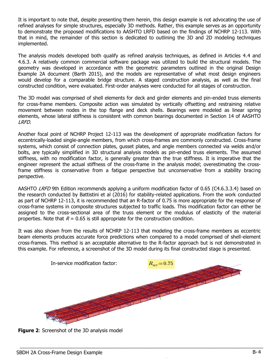It is important to note that, despite presenting them herein, this design example is not advocating the use of refined analyses for simple structures, especially 3D methods. Rather, this example serves as an opportunity to demonstrate the proposed modifications to AASHTO LRFD based on the findings of NCHRP 12-113. With that in mind, the remainder of this section is dedicated to outlining the 3D and 2D modeling techniques implemented.

The analysis models developed both qualify as refined analysis techniques, as defined in Articles 4.4 and 4.6.3. A relatively common commercial software package was utilized to build the structural models. The geometry was developed in accordance with the geometric parameters outlined in the original Design Example 2A document (Barth 2015), and the models are representative of what most design engineers would develop for a comparable bridge structure. A staged construction analysis, as well as the final constructed condition, were evaluated. First-order analyses were conducted for all stages of construction.

The 3D model was comprised of shell elements for deck and girder elements and pin-ended truss elements for cross-frame members. Composite action was simulated by vertically offsetting and restraining relative movement between nodes in the top flange and deck shells. Bearings were modeled as linear spring elements, whose lateral stiffness is consistent with common bearings documented in Section 14 of AASHTO LRFD.

Another focal point of NCHRP Project 12-113 was the development of appropriate modification factors for eccentrically-loaded single-angle members, from which cross-frames are commonly constructed. Cross-frame systems, which consist of connection plates, gusset plates, and angle members connected via welds and/or bolts, are typically simplified in 3D structural analysis models as pin-ended truss elements. The assumed stiffness, with no modification factor, is generally greater than the true stiffness. It is imperative that the engineer represent the actual stiffness of the cross-frame in the analysis model; overestimating the crossframe stiffness is conservative from a fatigue perspective but unconservative from a stability bracing perspective.

AASHTO *LRFD* 9th Edition recommends applying a uniform modification factor of 0.65 (C4.6.3.3.4) based on the research conducted by Battistini et al (2016) for stability-related applications. From the work conducted as part of NCHRP 12-113, it is recommended that an R-factor of 0.75 is more appropriate for the response of cross-frame systems in composite structures subjected to traffic loads. This modification factor can either be assigned to the cross-sectional area of the truss element or the modulus of elasticity of the material properties. Note that  $R = 0.65$  is still appropriate for the construction condition.

It was also shown from the results of NCHRP 12-113 that modeling the cross-frame members as eccentric beam elements produces accurate force predictions when compared to a model comprised of shell-element cross-frames. This method is an acceptable alternative to the R-factor approach but is not demonstrated in this example. For reference, a screenshot of the 3D model during its final constructed stage is presented.



Non-Commercial Use Only

**Figure 2:** Screenshot of the 3D analysis model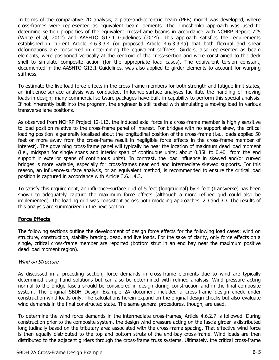In terms of the comparative 2D analysis, a plate-and-eccentric beam (PEB) model was developed, where cross-frames were represented as equivalent beam elements. The Timoshenko approach was used to determine section properties of the equivalent cross-frame beams in accordance with NCHRP Report 725 (White el al, 2012) and AASHTO G13.1 Guidelines (2014). This approach satisfies the requirements established in current Article 4.6.3.3.4 (or proposed Article 4.6.3.3.4a) that both flexural and shear deformations are considered in determining the equivalent stiffness. Girders, also represented as beam elements, were positioned vertically at the centroid of the cross-section and were constrained to the deck shell to simulate composite action (for the appropriate load cases). The equivalent torsion constant, documented in the AASHTO G13.1 Guidelines, was also applied to girder elements to account for warping stiffness.

To estimate the live-load force effects in the cross-frame members for both strength and fatigue limit states, an influence-surface analysis was conducted. Influence-surface analyses facilitate the handling of moving loads in design; many commercial software packages have built-in capability to perform this special analysis. If not inherently built into the program, the engineer is still tasked with simulating a moving load in various transverse lane positions.

As observed from NCHRP Project 12-113, the induced axial force in a cross-frame member is highly sensitive to load position relative to the cross-frame panel of interest. For bridges with no support skew, the critical loading position is generally localized about the longitudinal position of the cross-frame (i.e., loads applied 50 feet or more away from the cross-frame result in negligible force effects in the cross-frame member of interest). The governing cross-frame panel will typically be near the location of maximum dead load moment (i.e., midspan for single spans and interior span of continuous units; about 0.35L to 0.40L from the end support in exterior spans of continuous units). In contrast, the load influence in skewed and/or curved bridges is more variable, especially for cross-frames near end and intermediate skewed supports. For this reason, an influence-surface analysis, or an equivalent method, is recommended to ensure the critical load position is captured in accordance with Article 3.6.1.4.3.

To satisfy this requirement, an influence-surface grid of 5 feet (longitudinal) by 4 feet (transverse) has been shown to adequately capture the maximum force effects (although a more refined grid could also be implemented). The loading grid was consistent across both modeling approaches, 2D and 3D. The results of this analysis are summarized in the next section.

#### Force Effects

The following sections outline the development of design force effects for the following load cases: wind on structure, construction, stability bracing, dead, and live loads. For the sake of clarity, only force effects on a single, critical cross-frame member are reported (bottom strut in an end bay near the maximum positive dead load moment region).

#### Wind on Structure

As discussed in a preceding section, force demands in cross-frame elements due to wind are typically determined using hand solutions but can also be determined with refined analysis. Wind pressure acting normal to the bridge fascia should be considered in design during construction and in the final composite system. The original SBDH Design Example 2A document included a cross-frame design check under construction wind loads only. The calculations herein expand on the original design checks but also evaluate wind demands in the final constructed state. The same general procedures, though, are used.

To determine the wind force demands in the intermediate cross-frames, Article 4.6.2.7 is followed. During construction prior to the composite system, the design wind pressure acting on the fascia girder is distributed longitudinally based on the tributary area associated with the cross-frame spacing. That effective wind force is then equally distributed to the top and bottom struts of the end-bay cross-frame. Wind loads are then distributed to the adjacent girders through the cross-frame truss systems. Ultimately, the critical cross-frame  $\_$  , and the set of the set of the set of the set of the set of the set of the set of the set of the set of the set of the set of the set of the set of the set of the set of the set of the set of the set of the set of th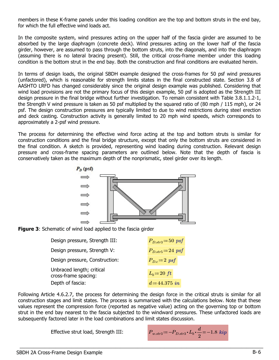members in these K-frame panels under this loading condition are the top and bottom struts in the end bay, for which the full effective wind loads act.

In the composite system, wind pressures acting on the upper half of the fascia girder are assumed to be absorbed by the large diaphragm (concrete deck). Wind pressures acting on the lower half of the fascia girder, however, are assumed to pass through the bottom struts, into the diagonals, and into the diaphragm (assuming there is no lateral bracing present). Still, the critical cross-frame member under this loading condition is the bottom strut in the end bay. Both the construction and final conditions are evaluated herein.

In terms of design loads, the original SBDH example designed the cross-frames for 50 psf wind pressures (unfactored), which is reasonable for strength limits states in the final constructed state. Section 3.8 of AASHTO LRFD has changed considerably since the original design example was published. Considering that wind load provisions are not the primary focus of this design example, 50 psf is adopted as the Strength III design pressure in the final bridge without further investigation. To remain consistent with Table 3.8.1.1.2-1, the Strength V wind pressure is taken as 50 psf multiplied by the squared ratio of (80 mph / 115 mph), or 24 psf. The design construction pressures are typically limited to due to wind restrictions during steel erection and deck casting. Construction activity is generally limited to 20 mph wind speeds, which corresponds to approximately a 2-psf wind pressure.

The process for determining the effective wind force acting at the top and bottom struts is similar for construction conditions and the final bridge structure, except that only the bottom struts are considered in the final condition. A sketch is provided, representing wind loading during construction. Relevant design pressure and cross-frame spacing parameters are outlined below. Note that the depth of fascia is conservatively taken as the maximum depth of the nonprismatic, steel girder over its length.





| Design pressure, Strength III:                    | $P_{D,str3} = 50$ psf |
|---------------------------------------------------|-----------------------|
| Design pressure, Strength V:                      | $P_{D,str5} = 24$ psf |
| Design pressure, Construction:                    | $P_{Dc} = 2$ psf      |
| Unbraced length; critical<br>cross-frame spacing: | $L_b = 20 \text{ ft}$ |
| Depth of fascia:                                  | $d = 44.375$ in       |

Following Article 4.6.2.7, the process for determining the design force in the critical struts is similar for all construction stages and limit states. The process is summarized with the calculations below. Note that these values represent the compression force (reported as negative value) acting on the governing top or bottom strut in the end bay nearest to the fascia subjected to the windward pressures. These unfactored loads are subsequently factored later in the load combinations and limit states discussion.

 $\_$  , and the set of the set of the set of the set of the set of the set of the set of the set of the set of the set of the set of the set of the set of the set of the set of the set of the set of the set of the set of th

Effective strut load, Strength III:

$$
P_{w.str3} \! := \! - P_{D.str3} \! \cdot \! L_b \! \cdot \! \frac{d}{2} \! = \! -1.8 \; \textit{kip}
$$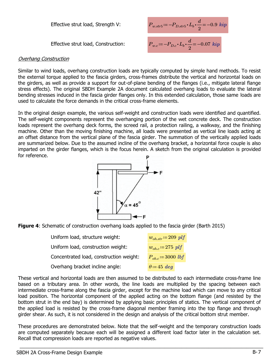Effective strut load, Strength V:

Effective strut load, Construction:

$$
P_{w.str5} := -P_{D.str5} \cdot L_b \cdot \frac{d}{2} = -0.9 \text{ } kip
$$
  

$$
P_{w.c} := -P_{D.c} \cdot L_b \cdot \frac{d}{2} = -0.07 \text{ } kip
$$

#### Overhang Construction

Similar to wind loads, overhang construction loads are typically computed by simple hand methods. To resist the external torque applied to the fascia girders, cross-frames distribute the vertical and horizontal loads on the girders, as well as provide a support for out-of-plane bending of the flanges (i.e., mitigate lateral flange stress effects). The original SBDH Example 2A document calculated overhang loads to evaluate the lateral bending stresses induced in the fascia girder flanges only. In this extended calculation, those same loads are used to calculate the force demands in the critical cross-frame elements.

In the original design example, the various self-weight and construction loads were identified and quantified. The self-weight components represent the overhanging portion of the wet concrete deck. The construction loads represent the overhang deck forms, the screed rail, a protection railing, a walkway, and the finishing machine. Other than the moving finishing machine, all loads were presented as vertical line loads acting at an offset distance from the vertical plane of the fascia girder. The summation of the vertically applied loads are summarized below. Due to the assumed incline of the overhang bracket, a horizontal force couple is also imparted on the girder flanges, which is the focus herein. A sketch from the original calculation is provided for reference.





| Uniform load, structure weight:         | $w_{oh,str} = 209$ plf      |
|-----------------------------------------|-----------------------------|
| Uniform load, construction weight:      | $w_{\text{oh.c}} = 275$ plf |
| Concentrated load, construction weight: | $P_{oh.c} = 3000$ lbf       |
| Overhang bracket incline angle:         | $\theta = 45$ deg           |

These vertical and horizontal loads are then assumed to be distributed to each intermediate cross-frame line based on a tributary area. In other words, the line loads are multiplied by the spacing between each intermediate cross-frame along the fascia girder, except for the machine load which can move to any critical load position. The horizontal component of the applied acting on the bottom flange (and resisted by the bottom strut in the end bay) is determined by applying basic principles of statics. The vertical component of the applied load is resisted by the cross-frame diagonal member framing into the top flange and through girder shear. As such, it is not considered in the design and analysis of the critical bottom strut member.

These procedures are demonstrated below. Note that the self-weight and the temporary construction loads are computed separately because each will be assigned a different load factor later in the calculation set. Recall that compression loads are reported as negative values.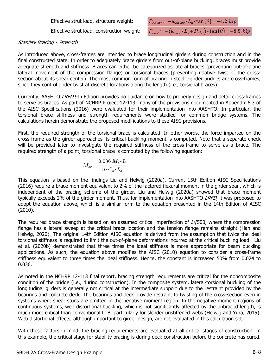Effective strut load, construction weight:



#### **Stability Bracing - Strength**

As introduced above, cross-frames are intended to brace longitudinal girders during construction and in the final constructed state. In order to adequately brace girders from out-of-plane buckling, braces must provide adequate strength and stiffness. Braces can either be categorized as lateral braces (preventing out-of-plane lateral movement of the compression flange) or torsional braces (preventing relative twist of the crosssection about its shear center). The most common form of bracing in steel I-girder bridges are cross-frames, since they control girder twist at discrete locations along the length (i.e., torsional braces).

Currently, AASHTO *LRFD* 9th Edition provides no quidance on how to properly design and detail cross-frames to serve as braces. As part of NCHRP Project 12-113, many of the provisions documented in Appendix 6.3 of the AISC Specifications (2016) were evaluated for their implementation into AASHTO. In particular, the torsional brace stiffness and strength requirements were studied for common bridge systems. The calculations herein demonstrate the proposed modifications to these AISC provisions.

First, the required strength of the torsional brace is calculated. In other words, the force imparted on the cross-frame as the girder approaches its critical buckling moment is computed. Note that a separate check will be provided later to investigate the required stiffness of the cross-frame to serve as a brace. The required strength of a point, torsional brace is computed by the following equation:

$$
M_{br}\!:=\!\frac{0.036~M_r\!\cdot\!L}{n\!\cdot\!C_b\!\cdot\!L_b}
$$

This equation is based on the findings Liu and Helwig (2020a). Current 15th Edition AISC Specifications (2016) require a brace moment equivalent to 2% of the factored flexural moment in the girder span, which is independent of the bracing scheme of the girder. Liu and Helwig (2020a) showed that brace moment typically exceeds 2% of the girder moment. Thus, for implementation into AASHTO LRFD, it was proposed to adopt the equation above, which is a similar form to the equation presented in the 14th Edition of AISC (2010).

The required brace strength is based on an assumed critical imperfection of  $L_b/500$ , where the compression flange has a lateral sweep at the critical brace location and the tension flange remains straight (Han and Helwig, 2020). The original 14th Edition AISC equation is derived from the assumption that twice the ideal torsional stiffness is required to limit the out-of-plane deformations incurred at the critical buckling load. Liu et al. (2020b) demonstrated that three times the ideal stiffness is more appropriate for beam buckling applications. As such, the equation above modifies the AISC (2010) equation to consider a cross-frame stiffness equivalent to three times the ideal stiffness. Hence, the constant is increased 50% from 0.024 to 0.036.

As noted in the NCHRP 12-113 final report, bracing strength requirements are critical for the noncomposite condition of the bridge (i.e., during construction). In the composite system, lateral-torsional buckling of the longitudinal girders is generally not critical at the intermediate support due to the restraint provided by the bearings and concrete deck. The bearings and deck provide restraint to twisting of the cross-section even in systems where shear studs are omitted in the negative moment region. In the negative moment regions of continuous systems, web distortional buckling, which is not significantly affected by the unbraced length, is much more critical than conventional LTB, particularly for slender unstiffened webs (Helwig and Yura, 2015). Web distortional effects, although important to girder design, are not evaluated in this calculation set.

With these factors in mind, the bracing requirements are evaluated at all critical stages of construction. In this example, the critical stage for stability bracing is during deck construction before the concrete has cured.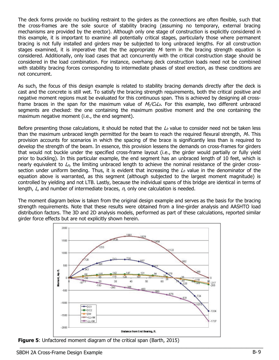The deck forms provide no buckling restraint to the girders as the connections are often flexible, such that the cross-frames are the sole source of stability bracing (assuming no temporary, external bracing mechanisms are provided by the erector). Although only one stage of construction is explicitly considered in this example, it is important to examine all potentially critical stages, particularly those where permanent bracing is not fully installed and girders may be subjected to long unbraced lengths. For all construction stages examined, it is imperative that the the appropriate  $M<sub>r</sub>$  term in the bracing strength equation is considered. Additionally, only load cases that act concurrently with the critical construction stage should be considered in the load combination. For instance, overhang deck construction loads need not be combined with stability bracing forces corresponding to intermediate phases of steel erection, as these conditions are not concurrent.

As such, the focus of this design example is related to stability bracing demands directly after the deck is cast and the concrete is still wet. To satisfy the bracing strength requirements, both the critical positive and negative moment regions must be evaluated for this continuous span. This is achieved by designing all crossframe braces in the span for the maximum value of  $M_{r}/C_{b}L_{b}$ . For this example, two different unbraced segments are checked: the one containing the maximum positive moment and the one containing the maximum negative moment (i.e., the end segment).

Before presenting those calculations, it should be noted that the  $\mathcal{L}_{b}$  value to consider need not be taken less than the maximum unbraced length permitted for the beam to reach the required flexural strength,  $M<sub>r</sub>$ . This provision accounts for scenarios in which the spacing of the brace is significantly less than is required to develop the strength of the beam. In essence, this provision lessens the demands on cross-frames for girders that would not buckle under the specified cross-frame layout (i.e., the girder would partially or fully yield prior to buckling). In this particular example, the end segment has an unbraced length of 10 feet, which is nearly equivalent to  $\mathcal{L}_{p}$ , the limiting unbraced length to achieve the nominal resistance of the girder crosssection under uniform bending. Thus, it is evident that increasing the  $\mathcal{L}_b$  value in the denominator of the equation above is warranted, as this segment (although subjected to the largest moment magnitude) is controlled by yielding and not LTB. Lastly, because the individual spans of this bridge are identical in terms of length,  $L$ , and number of intermediate braces,  $n$ , only one calculation is needed.

The moment diagram below is taken from the original design example and serves as the basis for the bracing strength requirements. Note that these results were obtained from a line-girder analysis and AASHTO load distribution factors. The 3D and 2D analysis models, performed as part of these calculations, reported similar girder force effects but are not explicitly shown herein.



**Figure 5:** Unfactored moment diagram of the critical span (Barth, 2015)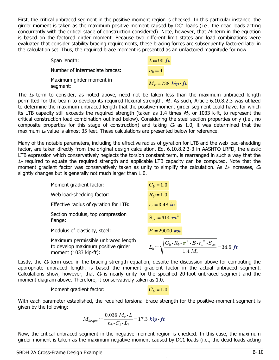First, the critical unbraced segment in the positive moment region is checked. In this particular instance, the girder moment is taken as the maximum positive moment caused by DC1 loads (i.e., the dead loads acting concurrently with the critical stage of construction considered). Note, however, that  $M<sub>r</sub>$  term in the equation is based on the factored girder moment. Because two different limit states and load combinations were evaluated that consider stability bracing requirements, these bracing forces are subsequently factored later in the calculation set. Thus, the required brace moment is presented as an unfactored magnitude for now.

| Span length:                         | $L=90$ ft                  |
|--------------------------------------|----------------------------|
| Number of intermediate braces:       | $n_h = 4$                  |
| Maximum girder moment in<br>segment: | $M_r = 738$ kip $\cdot$ ft |

The  $\mathcal{L}_{b}$  term to consider, as noted above, need not be taken less than the maximum unbraced length permitted for the beam to develop its required flexural strength, M. As such, Article 6.10.8.2.3 was utilized to determine the maximum unbraced length that the positive-moment girder segment could have, for which its LTB capacity still exceeds the required strength (taken as 1.4 times  $M<sub>r</sub>$ , or 1033 k-ft, to represent the critical construction load combination outlined below). Considering the steel section properties only (i.e., no composite properties for this stage of construction) and taking  $C_b$  as 1.0, it was determined that the maximum  $\Delta b$  value is almost 35 feet. These calculations are presented below for reference.

Many of the notable parameters, including the effective radius of gyration for LTB and the web load-shedding factor, are taken directly from the original design calculation. Eq. 6.10.8.2.3-3 in AASHTO LRFD, the elastic LTB expression which conservatively neglects the torsion constant term, is rearranged in such a way that the  $\mathcal{L}_{b}$  required to equate the required strength and applicable LTB capacity can be computed. Note that the moment gradient factor was conservatively taken as unity to simplify the calculation. As  $L_b$  increases,  $C_b$ slightly changes but is generally not much larger than 1.0.

| Moment gradient factor:                                                                              | $C_b = 1.0$                                                                                                 |
|------------------------------------------------------------------------------------------------------|-------------------------------------------------------------------------------------------------------------|
| Web load-shedding factor:                                                                            | $R_b = 1.0$                                                                                                 |
| Effective radius of gyration for LTB:                                                                | $r_t = 3.48$ in                                                                                             |
| Section modulus, top compression<br>flange:                                                          | $S_{xc} = 614$ in <sup>3</sup>                                                                              |
| Modulus of elasticity, steel:                                                                        | $E = 29000$ ksi                                                                                             |
| Maximum permissible unbraced length<br>to develop maximum positive girder<br>moment $(1033$ kip-ft): | $L_b = \sqrt{\frac{C_b \cdot R_b \cdot \pi^2 \cdot E \cdot r_t^2 \cdot S_{xc}}{1.4 M_r}} = 34.5 \text{ ft}$ |

Lastly, the  $C_b$  term used in the bracing strength equation, despite the discussion above for computing the appropriate unbraced length, is based the moment gradient factor in the actual unbraced segment. Calculations show, however, that  $C_b$  is nearly unity for the specified 20-foot unbraced segment and the moment diagram above. Therefore, it conservatively taken as 1.0.

Moment gradient factor:  $C_b:=1.0$ 

With each parameter established, the required torsional brace strength for the positive-moment segment is given by the following:

$$
M_{br. pos} \! := \! \frac{0.036 \; M_r \!\cdot\! L}{n_b \!\cdot\! C_b \!\cdot\! L_b} \! = \! 17.3 \; \textit{kip} \! \cdot \! \textit{ft}
$$

Now, the critical unbraced segment in the negative moment region is checked. In this case, the maximum girder moment is taken as the maximum negative moment caused by DC1 loads (i.e., the dead loads acting

 $\_$  , and the set of the set of the set of the set of the set of the set of the set of the set of the set of the set of the set of the set of the set of the set of the set of the set of the set of the set of the set of th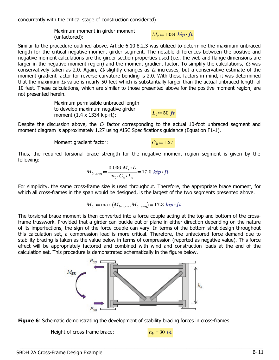concurrently with the critical stage of construction considered).

Maximum moment in girder moment Fraximum moment in girder moment<br> $M_r = 1334$   $kip \cdot ft$ <br>(unfactored):

Similar to the procedure outlined above, Article 6.10.8.2.3 was utilized to determine the maximum unbraced length for the critical negative-moment girder segment. The notable differences between the positive and negative moment calculations are the girder section properties used (i.e., the web and flange dimensions are larger in the negative moment region) and the moment gradient factor. To simplify the calculations,  $C_b$  was conservatively taken as 2.0. Again,  $C_b$  slightly changes as  $L_b$  increases, but a conservative estimate of the moment gradient factor for reverse-curvature bending is 2.0. With those factors in mind, it was determined that the maximum  $L_b$  value is nearly 50 feet which is substantially larger than the actual unbraced length of 10 feet. These calculations, which are similar to those presented above for the positive moment region, are not presented herein.

> Maximum permissible unbraced length to develop maximum negative girder to develop maximum negative ginder<br>moment (1.4 x 1334 kip-ft):  $L_b = 50 \text{ ft}$

Despite the discussion above, the  $C_b$  factor corresponding to the actual 10-foot unbraced segment and moment diagram is approximately 1.27 using AISC Specifications guidance (Equation F1-1).

Moment gradient factor:  $C_b = 1.27$ 

Thus, the required torsional brace strength for the negative moment region segment is given by the following:

$$
M_{br.neg} = \frac{0.036 M_r \cdot L}{n_b \cdot C_b \cdot L_b} = 17.0 \; kip \cdot ft
$$

For simplicity, the same cross-frame size is used throughout. Therefore, the appropriate brace moment, for which all cross-frames in the span would be designed, is the largest of the two segments presented above.

$$
M_{br}\!\coloneqq\!\max\big(M_{br. pos},\!_{br. neg}\big)\!=\!17.3\,\textit{\textbf{kip-ft}}
$$

The torsional brace moment is then converted into a force couple acting at the top and bottom of the crossframe trusswork. Provided that a girder can buckle out of plane in either direction depending on the nature of its imperfections, the sign of the force couple can vary. In terms of the bottom strut design throughout this calculation set, a compression load is more critical. Therefore, the unfactored force demand due to stability bracing is taken as the value below in terms of compression (reported as negative value). This force effect will be appropriately factored and combined with wind and construction loads at the end of the calculation set. This procedure is demonstrated schematically in the figure below.



 $\_$  , and the set of the set of the set of the set of the set of the set of the set of the set of the set of the set of the set of the set of the set of the set of the set of the set of the set of the set of the set of th



Height of cross-frame brace:  $h_b = 30$  in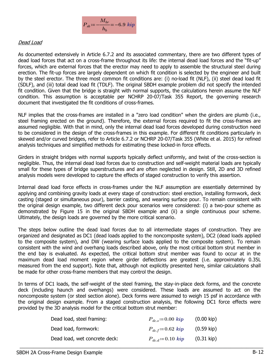

#### Dead Load

As documented extensively in Article 6.7.2 and its associated commentary, there are two different types of dead load forces that act on a cross-frame throughout its life: the internal dead load forces and the "fit-up" forces, which are external forces that the erector may need to apply to assemble the structural steel during erection. The fit-up forces are largely dependent on which fit condition is selected by the engineer and built by the steel erector. The three most common fit conditions are: (i) no-load fit (NLF), (ii) steel dead load fit (SDLF), and (iii) total dead load fit (TDLF). The original SBDH example problem did not specify the intended fit condition. Given that the bridge is straight with normal supports, the calculations herein assume the NLF condition. This assumption is acceptable per NCHRP 20-07/Task 355 Report, the governing research document that investigated the fit conditions of cross-frames.

NLF implies that the cross-frames are installed in a "zero load condition" when the girders are plumb (i.e., steel framing erected on the ground). Therefore, the external forces required to fit the cross-frames are assumed negligible. With that in mind, only the internal dead load forces developed during construction need to be considered in the design of the cross-frames in this example. For different fit conditions particularly in skewed and/or curved bridges, refer to Article 6.7.2 or NCHRP 20-07/Task 355 (White et al. 2015) for refined analysis techniques and simplified methods for estimating these locked-in force effects.

Girders in straight bridges with normal supports typically deflect uniformly, and twist of the cross-section is negligible. Thus, the internal dead load forces due to construction and self-weight material loads are typically small for these types of bridge superstructures and are often neglected in design. Still, 2D and 3D refined analysis models were developed to capture the effects of staged construction to verify this assertion.

Internal dead load force effects in cross-frames under the NLF assumption are essentially determined by applying and combining gravity loads at every stage of construction: steel erection, installing formwork, deck casting (staged or simultaneous pour), barrier casting, and wearing surface pour. To remain consistent with the original design example, two different deck pour scenarios were considered: (i) a two-pour scheme as demonstrated by Figure 15 in the original SBDH example and (ii) a single continuous pour scheme. Ultimately, the design loads are governed by the more critical scenario.

The steps below outline the dead load forces due to all intermediate stages of construction. They are organized and designated as DC1 (dead loads applied to the noncomposite system), DC2 (dead loads applied to the composite system), and DW (wearing surface loads applied to the composite system). To remain consistent with the wind and overhang loads described above, only the most critical bottom strut member in the end bay is evaluated. As expected, the critical bottom strut member was found to occur at in the maximum dead load moment region where girder deflections are greatest (i.e. approximately 0.35L measured from the end support). Note that, although not explicitly presented here, similar calculations shall be made for other cross-frame members that may control the design.

In terms of DC1 loads, the self-weight of the steel framing, the stay-in-place deck forms, and the concrete deck (including haunch and overhangs) were considered. These loads are assumed to act on the noncomposite system (or steel section alone). Deck forms were assumed to weigh 15 psf in accordance with the original design example. From a staged construction analysis, the following DC1 force effects were provided by the 3D analysis model for the critical bottom strut member:

| Dead load, steel framing:     | $P_{dc} = 0.00$ kip   | $(0.00 \text{ kip})$ |
|-------------------------------|-----------------------|----------------------|
| Dead load, formwork:          | $P_{dc,f} = 0.62$ kip | (0.59 kip)           |
| Dead load, wet concrete deck: | $P_{dc,d} = 0.10$ kip | $(0.31 \text{ kip})$ |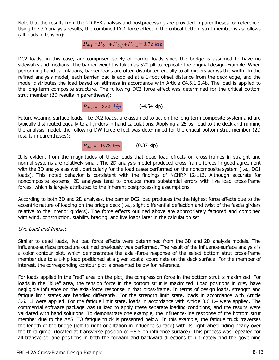Note that the results from the 2D PEB analysis and postprocessing are provided in parentheses for reference. Using the 3D analysis results, the combined DC1 force effect in the critical bottom strut member is as follows (all loads in tension):

 $P_{dc1} = P_{dc.s} + P_{dc.f} + P_{dc.d} = 0.72$  kip

DC2 loads, in this case, are comprised solely of barrier loads since the bridge is assumed to have no sidewalks and medians. The barrier weight is taken as 520 plf to replicate the original design example. When performing hand calculations, barrier loads are often distributed equally to all girders across the width. In the refined analysis model, each barrier load is applied at a 1-foot offset distance from the deck edge, and the model distributes the load based on stiffness in accordance with Article C4.6.1.2.4b. The load is applied to the long-term composite structure. The following DC2 force effect was determined for the critical bottom strut member (2D results in parentheses):



Future wearing surface loads, like DC2 loads, are assumed to act on the long-term composite system and are typically distributed equally to all girders in hand calculations. Applying a 25 psf load to the deck and running the analysis model, the following DW force effect was determined for the critical bottom strut member (2D results in parentheses):



It is evident from the magnitudes of these loads that dead load effects on cross-frames in straight and normal systems are relatively small. The 2D analysis model produced cross-frame forces in good agreement with the 3D analysis as well, particularly for the load cases performed on the noncomposite system (i.e., DC1 loads). This noted behavior is consistent with the findings of NCHRP 12-113. Although accurate for noncomposite systems, 2D analyses tend to produce more substantial errors with live load cross-frame forces, which is largely attributed to the inherent postprocessing assumptions.

According to both 3D and 2D analyses, the barrier DC2 load produces the the highest force effects due to the eccentric nature of loading on the bridge deck (i.e., slight differential deflection and twist of the fascia girders relative to the interior girders). The force effects outlined above are appropriately factored and combined with wind, construction, stability bracing, and live loads later in the calculation set.

#### Live Load and Impact

Similar to dead loads, live load force effects were determined from the 3D and 2D analysis models. The influence-surface procedure outlined previously was performed. The result of the influence-surface analysis is a color contour plot, which demonstrates the axial-force response of the select bottom strut cross-frame member due to a 1-kip load positioned at a given spatial coordinate on the deck surface. For the member of interest, the corresponding contour plot is presented below for reference.

For loads applied in the "red" area on the plot, the compression force in the bottom strut is maximized. For loads in the "blue" area, the tension force in the bottom strut is maximized. Load positions in grey have negligible influence on the axial-force response in that cross-frame. In terms of design loads, strength and fatigue limit states are handled differently. For the strength limit state, loads in accordance with Article 3.6.1.3 were applied. For the fatigue limit state, loads in accordance with Article 3.6.1.4 were applied. The commercial software package was utilized to apply these separate loading conditions, and the results were validated with hand solutions. To demonstrate one example, the influence-line response of the bottom strut member due to the AASHTO fatigue truck is presented below. In this example, the fatigue truck traverses the length of the bridge (left to right orientation in influence surface) with its right wheel riding nearly over the third girder (located at transverse position of +8.5 on influence surface). This process was repeated for all transverse lane positions in both the forward and backward directions to ultimately find the governing

Non-Commercial Use Only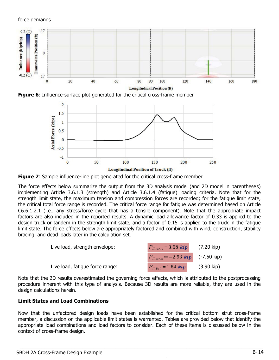force demands.



**Figure 6:** Influence-surface plot generated for the critical cross-frame member



**Figure 7:** Sample influence-line plot generated for the critical cross-frame member

The force effects below summarize the output from the 3D analysis model (and 2D model in parentheses) implementing Article 3.6.1.3 (strength) and Article 3.6.1.4 (fatigue) loading criteria. Note that for the strength limit state, the maximum tension and compression forces are recorded; for the fatigue limit state, the critical total force range is recorded. The critical force range for fatigue was determined based on Article C6.6.1.2.1 (i.e., any stress/force cycle that has a tensile component). Note that the appropriate impact factors are also included in the reported results. A dynamic load allowance factor of 0.33 is applied to the design truck or tandem in the strength limit state, and a factor of 0.15 is applied to the truck in the fatigue limit state. The force effects below are appropriately factored and combined with wind, construction, stability bracing, and dead loads later in the calculation set.

| Live load, strength envelope:   | $P_{ll,str,t} = 3.58$ kip                | (7.20 kip)           |
|---------------------------------|------------------------------------------|----------------------|
|                                 | $P_{ll,str,c}$ = -2.93 $kip$ (-7.50 kip) |                      |
| Live load, fatique force range: | $P_{ll, fat} = 1.64$ kip                 | $(3.90 \text{ kip})$ |

Note that the 2D results overestimated the governing force effects, which is attributed to the postprocessing procedure inherent with this type of analysis. Because 3D results are more reliable, they are used in the design calculations herein.

### Limit States and Load Combinations

Now that the unfactored design loads have been established for the critical bottom strut cross-frame member, a discussion on the applicable limit states is warranted. Tables are provided below that identify the appropriate load combinations and load factors to consider. Each of these items is discussed below in the context of cross-frame design.

Non-Commercial Use Only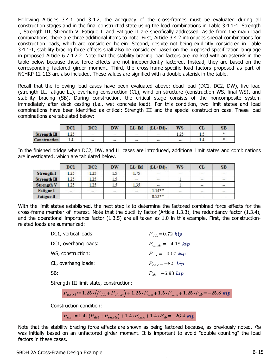Following Articles 3.4.1 and 3.4.2, the adequacy of the cross-frames must be evaluated during all construction stages and in the final constructed state using the load combinations in Table 3.4.1-1. Strength I, Strength III, Strength V, Fatigue I, and Fatigue II are specifically addressed. Aside from the main load combinations, there are three additional items to note. First, Article 3.4.2 introduces special combinations for construction loads, which are considered herein. Second, despite not being explicitly considered in Table 3.4.1-1, stability bracing force effects shall also be considered based on the proposed specification language in proposed Article 6.7.4.2.2. Note that the stability bracing load factors are marked with an asterisk in the table below because these force effects are not independently factored. Instead, they are based on the corresponding factored girder moment. Third, the cross-frame-specific load factors proposed as part of NCHRP 12-113 are also included. These values are signified with a double asterisk in the table.

Recall that the following load cases have been evaluated above: dead load (DC1, DC2, DW), live load (strength LL, fatigue LL), overhang construction (CL), wind on structure (construction WS, final WS), and stability bracing (SB). During construction, the critical stage consists of the noncomposite system immediately after deck casting (i.e., wet concrete load). For this condition, two limit states and load combinations have been identified as critical: Strength III and the special construction case. These load combinations are tabulated below:

|                     | DCl       | DC <sub>2</sub> | <b>DW</b> | $LL+IM$ | $(LL+IM)$                | <b>WS</b>      | rп<br>u | <b>SB</b> |
|---------------------|-----------|-----------------|-----------|---------|--------------------------|----------------|---------|-----------|
| Streamgth III       | $-15$<br> | --              | --        | --      | $\overline{\phantom{a}}$ | a met<br>ر ے و |         |           |
| <b>Construction</b> | 1.7       | --              | --        | --      | -                        | --             | 1.4     |           |

In the finished bridge when DC2, DW, and LL cases are introduced, additional limit states and combinations are investigated, which are tabulated below.

|                   | <b>DCI</b>               | DC2                      | <b>DW</b>                | $LL+IM$           | $(LL+IM)f$               | <b>WS</b>                | CL                       | SB                       |
|-------------------|--------------------------|--------------------------|--------------------------|-------------------|--------------------------|--------------------------|--------------------------|--------------------------|
| <b>Strength I</b> | 1.25                     | 1.25                     | 1.5                      | 1.75              | $\frac{1}{2}$            | المند                    | $\frac{1}{2}$            | است                      |
| Strength III      | 1.25                     | 1.25                     | 1.5                      | $\hspace{0.05cm}$ | $\overline{\phantom{a}}$ |                          | $\overline{\phantom{a}}$ | $\overline{\phantom{a}}$ |
| <b>Strength V</b> | 1.25                     | 1.25                     | 1.5                      | 1.35              | -                        |                          | $\sim$                   | $\hspace{0.05cm}$        |
| <b>Fatigue I</b>  | $-$                      | --                       | $\overline{\phantom{a}}$ |                   | $1.14**$                 | $\overline{\phantom{a}}$ | $\overline{\phantom{a}}$ | $\overline{\phantom{a}}$ |
| <b>Fatigue II</b> | $\overline{\phantom{a}}$ | $\overline{\phantom{a}}$ | $\overline{\phantom{a}}$ | --                | $0.52**$                 | $\!-$                    | -                        | $\overline{\phantom{m}}$ |

With the limit states established, the next step is to determine the factored combined force effects for the cross-frame member of interest. Note that the ductility factor (Article 1.3.3), the redundancy factor (1.3.4), and the operational importance factor (1.3.5) are all taken as 1.0 in this example. First, the constructionrelated loads are summarized:

| DC1, vertical loads: | $P_{dc1} = 0.72$ kip         |
|----------------------|------------------------------|
| DC1, overhang loads: | $P_{oh, str} = -4.18$ kip    |
| WS, construction:    | $P_{wc} = -0.07$ kip         |
| CL, overhang loads:  | $P_{\text{oh.c}} = -8.5$ kip |
| SB:                  | $P_{sh} = -6.93 \; kip$      |

Strength III limit state, construction:

$$
P_{c. str3} \coloneqq 1.25 \cdot (P_{dc1} + P_{oh. str}) + 1.25 \cdot P_{w.c} + 1.5 \cdot P_{oh.c} + 1.25 \cdot P_{sb} = -25.8 \text{ } kip
$$

Construction condition:

```
P_{c,cl} = 1.4 \cdot (P_{dc1} + P_{oh.str}) + 1.4 \cdot P_{oh.c} + 1.4 \cdot P_{sb} = -26.4 \; kip
```
Note that the stability bracing force effects are shown as being factored because, as previously noted,  $P_{SB}$ was initially based on an unfactored girder moment. It is important to avoid "double counting" the load factors in these cases.

 $\_$  , and the set of the set of the set of the set of the set of the set of the set of the set of the set of the set of the set of the set of the set of the set of the set of the set of the set of the set of the set of th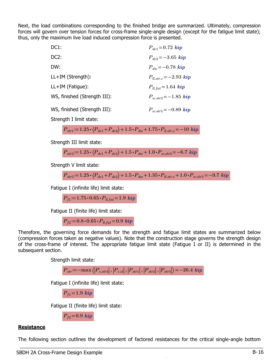Next, the load combinations corresponding to the finished bridge are summarized. Ultimately, compression forces will govern over tension forces for cross-frame single-angle design (except for the fatigue limit state); thus, only the maximum live load induced compression force is presented.

| DC <sub>1</sub> :            | $P_{dc1} = 0.72$ kip       |
|------------------------------|----------------------------|
| DC <sub>2</sub> :            | $P_{dc2} = -3.65$ kip      |
| DW:                          | $P_{dw} = -0.78 \; kip$    |
| $LL+IM$ (Strength):          | $P_{ll.str.c} = -2.93$ kip |
| $LL+IM$ (Fatigue):           | $P_{ll,tat} = 1.64$ kip    |
| WS, finished (Strength III): | $P_{w,str3} = -1.85$ kip   |
| WS, finished (Strength III): | $P_{w.str5} = -0.89$ kip   |

Strength I limit state:

$$
P_{str1}\!:=\!1.25\!\cdot\!\left\langle \!P_{dc1}\!+\!P_{dc2}\!\right\rangle \!+\!1.5\!\cdot\! P_{dw}\!+\!1.75\!\cdot\! P_{ll.str.c}\!=\!-10\;kip
$$

Strength III limit state:

$$
P_{str3} = 1.25 \cdot (P_{dc1} + P_{dc2}) + 1.5 \cdot P_{dw} + 1.0 \cdot P_{w.str3} = -6.7 \text{ } kip
$$

Strength V limit state:

$$
P_{str5} = 1.25 \cdot (P_{dc1} + P_{dc2}) + 1.5 \cdot P_{dw} + 1.35 \cdot P_{ll.str.c} + 1.0 \cdot P_{w.str5} = -9.7 \text{ } kip
$$

Fatigue I (infinite life) limit state:

 $P_{f1}$  = 1.75  $\cdot$  0.65  $\cdot$   $P_{ll.fat}$  = 1.9 kip

Fatigue II (finite life) limit state:

$$
P_{f2} = 0.8 \cdot 0.65 \cdot P_{ll, fat} = 0.9 \; kip
$$

Therefore, the governing force demands for the strength and fatigue limit states are summarized below (compression forces taken as negative values). Note that the construction stage governs the strength design of the cross-frame of interest. The appropriate fatigue limit state (Fatigue I or II) is determined in the subsequent section.

Strength limit state:

$$
{P_{str}}\!\coloneqq\!-\!\max\left(\! \left|{P_{c.str3}}\right|,\left|{P_{ccl}}\right|,\left|{P_{str1}}\right|,\left|{P_{str3}}\right|,\left|{P_{str5}}\right|\right)\!=\!-26.4\;{\textbf{kip}}
$$

Fatigue I (infinite life) limit state:

 $P_{f1}=1.9$  kip

Fatigue II (finite life) limit state:

$$
P_{f2}\!=\!0.9\;{\boldsymbol{kip}}
$$

#### **Resistance**

The following section outlines the development of factored resistances for the critical single-angle bottom  $\_$  , and the set of the set of the set of the set of the set of the set of the set of the set of the set of the set of the set of the set of the set of the set of the set of the set of the set of the set of the set of th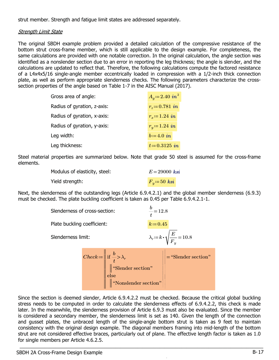strut member. Strength and fatigue limit states are addressed separately.

#### Strength Limit State

The original SBDH example problem provided a detailed calculation of the compressive resistance of the bottom strut cross-frame member, which is still applicable to the design example. For completeness, the same calculations are provided with one notable correction. In the original calculation, the angle section was identified as a nonslender section due to an error in reporting the leg thickness; the angle is slender, and the calculations are updated to reflect that. Therefore, the following calculations compute the factored resistance of a L4x4x5/16 single-angle member eccentrically loaded in compression with a 1/2-inch thick connection plate, as well as perform appropriate slenderness checks. The following parameters characterize the crosssection properties of the angle based on Table 1-7 in the AISC Manual (2017).

| Gross area of angle:        | $A_q = 2.40$ in <sup>2</sup> |
|-----------------------------|------------------------------|
| Radius of gyration, z-axis: | $r_{\gamma} = 0.781$ in      |
| Radius of gyration, x-axis: | $r_r = 1.24$ in              |
| Radius of gyration, y-axis: | $r_{y} = 1.24$ in            |
| Leg width:                  | $b = 4.0$ in                 |
| Leg thickness:              | $t = 0.3125$ in              |

Steel material properties are summarized below. Note that grade 50 steel is assumed for the cross-frame elements.

| Modulus of elasticity, steel: | $E = 29000$ ksi |
|-------------------------------|-----------------|
| Yield strength:               | $F_y = 50$ ksi  |

Next, the slenderness of the outstanding legs (Article 6.9.4.2.1) and the global member slenderness (6.9.3) must be checked. The plate buckling coefficient is taken as 0.45 per Table 6.9.4.2.1-1.

| Slenderness of cross-section: |                                                                                                                                                                                                   | $\frac{b}{t}$ = 12.8 |                                                         |
|-------------------------------|---------------------------------------------------------------------------------------------------------------------------------------------------------------------------------------------------|----------------------|---------------------------------------------------------|
| Plate buckling coefficient:   |                                                                                                                                                                                                   | $k = 0.45$           |                                                         |
| Slenderness limit:            |                                                                                                                                                                                                   |                      | $\lambda_r = k \cdot \sqrt{\frac{E}{F_{\odot}}} = 10.8$ |
|                               | Check := $\left\  \begin{array}{l} \text{if } \frac{b}{t} > \lambda_r \\ \parallel^{\text{``Slender section''}} \\ \text{else} \\ \parallel^{\text{``Nonslender section''}} \end{array} \right\ $ |                      | $\left\  \cdot \right\ $ = "Slender section"            |

Since the section is deemed slender, Article 6.9.4.2.2 must be checked. Because the critical global buckling stress needs to be computed in order to calculate the slenderness effects of 6.9.4.2.2, this check is made later. In the meanwhile, the slenderness provision of Article 6.9.3 must also be evaluated. Since the member is considered a secondary member, the slenderness limit is set as 140. Given the length of the connection and gusset plates, the unbraced length of the single-angle bottom strut is taken as 9 feet to maintain consistency with the original design example. The diagonal members framing into mid-length of the bottom strut are not considered effective braces, particularly out of plane. The effective length factor is taken as 1.0 for single members per Article 4.6.2.5.

Non-Commercial Use Only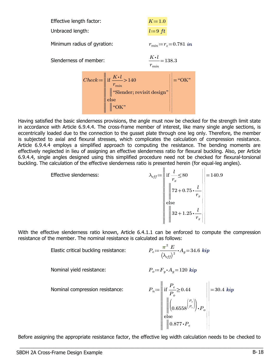| Effective length factor:                                       | $K=1.0$                                                                                                                                                   |                                            |                                 |
|----------------------------------------------------------------|-----------------------------------------------------------------------------------------------------------------------------------------------------------|--------------------------------------------|---------------------------------|
| Unbraced length:                                               |                                                                                                                                                           | $l=9$ ft                                   |                                 |
| Minimum radius of gyration:                                    |                                                                                                                                                           | $r_{min} = r_z = 0.781$ in                 |                                 |
| Slenderness of member:                                         |                                                                                                                                                           | $\frac{K \cdot l}{l} = 138.3$<br>$r_{min}$ |                                 |
|                                                                | Check := $\begin{bmatrix} \text{if } \frac{K \cdot l}{r_{min}} > 140 \\ \text{``Slender; revisit design''} \\ \text{else} \\ \text{``OK''} \end{bmatrix}$ |                                            | $\left\  \cdot \right\ $ = "OK" |
| d the basic slenderness provisions, the angle must now be chec |                                                                                                                                                           |                                            |                                 |

Having satisfied the basic slenderness provisions, the angle must now be checked for the strength limit state in accordance with Article 6.9.4.4. The cross-frame member of interest, like many single angle sections, is eccentrically loaded due to the connection to the gusset plate through one leg only. Therefore, the member is subjected to axial and flexural stresses, which complicates the calculation of compression resistance. Article 6.9.4.4 employs a simplified approach to computing the resistance. The bending moments are effectively neglected in lieu of assigning an effective slenderness ratio for flexural buckling. Also, per Article 6.9.4.4, single angles designed using this simplified procedure need not be checked for flexural-torsional buckling. The calculation of the effective slenderness ratio is presented herein (for equal-leg angles).

> Effective slenderness:  $\lambda_{eff} \coloneqq ||\text{ if } \frac{\cdot}{\cdot} \leq 80$   $||\cdot||$ ‖ ‖ ‖ ‖ ‖ ‖ ‖ ‖ ‖ ‖ ‖ ‖ | | | | | | | | | | if else  $\frac{l}{\sqrt{2}}$  $r_x$ 80 ‖ ‖ ‖ ‖  $72+0.75 \cdot \frac{l}{1}$  $r_x$ ‖ ‖ ‖ ‖  $32+1.25 \cdot \frac{l}{2}$  $r_x$ 140.9

With the effective slenderness ratio known, Article 6.4.1.1 can be enforced to compute the compression resistance of the member. The nominal resistance is calculated as follows:

Elastic critical buckling resistance:

$$
{P_e\!:=\!\frac{\boldsymbol{\pi}^2\;E}{\left(\lambda_{\mathit{eff}}\right)^2}\!\boldsymbol{\cdot} A_g\!=\!34.6\;k\boldsymbol ip}
$$

Nominal yield resistance:  $P_o = F_u \cdot A_o = 120 \; kip$ 

Nominal compression resistance:

$$
P_n = \left\| \begin{array}{l} \text{if } \frac{P_e}{P_o} \ge 0.44 \\ \left\| \begin{pmatrix} P_o \\ 0.6558 \end{pmatrix} \begin{pmatrix} P_o \\ P_e \end{pmatrix} \end{array} \right\|_2 = 30.4 \text{ } \text{kip}
$$
  
else  

$$
\left\| 0.877 \cdot P_e \right\|_2
$$

Before assigning the appropriate resistance factor, the effective leg width calculation needs to be checked to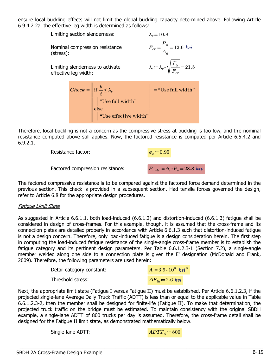ensure local buckling effects will not limit the global buckling capacity determined above. Following Article 6.9.4.2.2a, the effective leg width is determined as follows:

| Limiting section slenderness: |                      |                                                                                                                                                                                                  | $\lambda_r = 10.8$                                                    |
|-------------------------------|----------------------|--------------------------------------------------------------------------------------------------------------------------------------------------------------------------------------------------|-----------------------------------------------------------------------|
| (stress):                     |                      | Nominal compression resistance                                                                                                                                                                   | $F_{cr} = \frac{P_n}{A_c} = 12.6$ ksi                                 |
|                               | effective leg width: | Limiting slenderness to activate                                                                                                                                                                 | $\lambda_s\!:=\!\lambda_r\!\cdot\!\sqrt{\frac{F_y}{F_{cr}}}\!=\!21.5$ |
|                               |                      | Check := $\left\  \begin{array}{l} \text{if } \frac{b}{t} \leq \lambda_s \\ \parallel^a \text{Use full width}^n \\ \text{else} \\ \parallel^a \text{Use effective width}^n \end{array} \right\ $ | $\left\  \cdot \right\  =$ "Use full width"                           |

Therefore, local buckling is not a concern as the compressive stress at buckling is too low, and the nominal resistance computed above still applies. Now, the factored resistance is computed per Article 6.5.4.2 and 6.9.2.1.

Resistance factor:  $\phi_c = 0.95$ 

Factored compression resistance:  $P_{r.str} = \phi_c \cdot P_n = 28.8 \; kip$ 

The factored compressive resistance is to be compared against the factored force demand determined in the previous section. This check is provided in a subsequent section. Had tensile forces governed the design, refer to Article 6.8 for the appropriate design procedures.

#### Fatigue Limit State

As suggested in Article 6.6.1.1, both load-induced (6.6.1.2) and distortion-induced (6.6.1.3) fatigue shall be considered in design of cross-frames. For this example, though, it is assumed that the cross-frame and its connection plates are detailed properly in accordance with Article 6.6.1.3 such that distortion-induced fatigue is not a design concern. Therefore, only load-induced fatigue is a design consideration herein. The first step in computing the load-induced fatigue resistance of the single-angle cross-frame member is to establish the fatigue category and its pertinent design parameters. Per Table 6.6.1.2.3-1 (Section 7.2), a single-angle member welded along one side to a connection plate is given the E' designation (McDonald and Frank, 2009). Therefore, the following parameters are used herein:

| Detail category constant: | $A = 3.9 \cdot 10^8$ ksi <sup>3</sup> |
|---------------------------|---------------------------------------|
| Threshold stress:         | $\Delta F_{th} = 2.6$ ksi             |

Next, the appropriate limit state (Fatigue I versus Fatigue II) must be established. Per Article 6.6.1.2.3, if the projected single-lane Average Daily Truck Traffic (ADTT) is less than or equal to the applicable value in Table 6.6.1.2.3-2, then the member shall be designed for finite-life (Fatigue II). To make that determination, the projected truck traffic on the bridge must be estimated. To maintain consistency with the original SBDH example, a single-lane ADTT of 800 trucks per day is assumed. Therefore, the cross-frame detail shall be designed for the Fatigue II limit state, as demonstrated mathematically below.

 $\_$  , and the set of the set of the set of the set of the set of the set of the set of the set of the set of the set of the set of the set of the set of the set of the set of the set of the set of the set of the set of th

Single-lane ADTT:  $ADTT_s$  = 800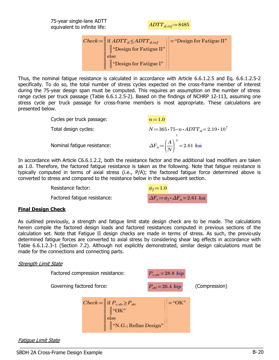75-year single-lane ADTT equivalent to infinite life:  $ADTT_{sl.inf} = 8485$ 

$$
Check := \left\| \begin{array}{l}\n \text{if } ADTT_{sl} \leq ADTT_{sl.info} \\
\text{if } \text{Design for Fatigue II''} \\
\text{else} \\
\text{if } \text{Design for Fatigue II''}\n \end{array} \right\| = \text{``Design for Fatigue II''}\n\right\|
$$

Thus, the nominal fatigue resistance is calculated in accordance with Article 6.6.1.2.5 and Eq. 6.6.1.2.5-2 specifically. To do so, the total number of stress cycles expected on the cross-frame member of interest during the 75-year design span must be computed. This requires an assumption on the number of stress range cycles per truck passage (Table 6.6.1.2.5-2). Based on the findings of NCHRP 12-113, assuming one stress cycle per truck passage for cross-frame members is most appropriate. These calculations are presented below.

Cycles per truck passage:

\n
$$
n := 1.0
$$
\nTotal design cycles:

\n
$$
N := 365 \cdot 75 \cdot n \cdot ADTT_{sl} = 2.19 \cdot 10^{7}
$$
\nNominal fatigue resistance:

\n
$$
\Delta F_n := \left(\frac{A}{N}\right)^{\frac{1}{3}} = 2.61
$$
\nksi

In accordance with Article C6.6.1.2.2, both the resistance factor and the additional load modifiers are taken as 1.0. Therefore, the factored fatigue resistance is taken as the following. Note that fatigue resistance is typically computed in terms of axial stress (i.e., P/A); the factored fatigue force determined above is converted to stress and compared to the resistance below in the subsequent section.

> Resistance factor: Resistance factor:<br>Factored fatigue resistance:  $\phi_f$ := 1.0<br> $\Delta F_r$ :=  $\phi_f \cdot \Delta F_n$ = 2.61 ksi

#### Final Design Check

As outlined previously, a strength and fatigue limit state design check are to be made. The calculations herein compile the factored design loads and factored resistances computed in previous sections of the calculation set. Note that Fatigue II design checks are made in terms of stress. As such, the previously determined fatigue forces are converted to axial stress by considering shear lag effects in accordance with Table 6.6.1.2.3-1 (Section 7.2). Although not explicitly demonstrated, similar design calculations must be made for the connections and connecting parts.

## Strength Limit State



Fatigue Limit State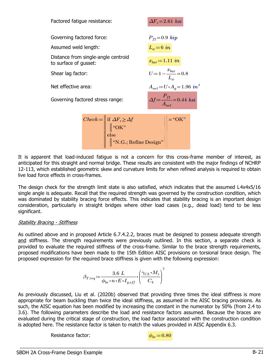| Factored fatigue resistance:                                 | $\Delta F_r = 2.61$ ksi                        |
|--------------------------------------------------------------|------------------------------------------------|
| Governing factored force:                                    | $P_{f2} = 0.9$ kip                             |
| Assumed weld length:                                         | $L_w = 6$ in                                   |
| Distance from single-angle centroid<br>to surface of gusset: | $x_{bar} = 1.11$ in                            |
| Shear lag factor:                                            | $U = 1 - \frac{x_{bar}}{L_{av}} = 0.8$         |
| Net effective area:                                          | $A_{net} = U \cdot A_q = 1.96$ in <sup>2</sup> |
| Governing factored stress range:                             | $\Delta f = \frac{P_{f2}}{A} = 0.44$ ksi       |
| $Chack = \parallel$ if $\Delta F > \Delta f$                 | $  \cdot  $ $\left(\sqrt{V}\right)$            |

 $Check := \left\| \begin{array}{l} \text{if } \Delta F_r \geq \Delta f \\ \parallel_{\text{max}} \end{array} \right\| =$ ‖ ‖ ‖ ‖ ‖ ‖ | | | | | | |<br>|<br>| | if  $\mathbb{E}$  $\Delta F_r \geq \Delta f$ ‖ ‖ "OK" ‖ ‖ "N.G.; Refine Design" "OK"

It is apparent that load-induced fatigue is not a concern for this cross-frame member of interest, as anticipated for this straight and normal bridge. These results are consistent with the major findings of NCHRP 12-113, which established geometric skew and curvature limits for when refined analysis is required to obtain live load force effects in cross-frames.

The design check for the strength limit state is also satisfied, which indicates that the assumed L4x4x5/16 single angle is adequate. Recall that the required strength was governed by the construction condition, which was dominated by stability bracing force effects. This indicates that stability bracing is an important design consideration, particularly in straight bridges where other load cases (e.g., dead load) tend to be less significant.

#### Stability Bracing - Stiffness

As outlined above and in proposed Article 6.7.4.2.2, braces must be designed to possess adequate strength and stiffness. The strength requirements were previously outlined. In this section, a separate check is provided to evaluate the required stiffness of the cross-frame. Similar to the brace strength requirements, proposed modifications have been made to the 15th Edition AISC provisions on torsional brace design. The proposed expression for the required brace stiffness is given with the following expression:

$$
\beta_{Treq} := \frac{3.6 \ L}{\phi_{br} \cdot n \cdot E \cdot I_{y.eff}} \cdot \left(\frac{\gamma_{CL} \cdot M_r}{C_b}\right)^2
$$

As previously discussed, Liu et al. (2020b) observed that providing three times the ideal stiffness is more appropriate for beam buckling than twice the ideal stiffness, as assumed in the AISC bracing provisions. As such, the AISC equation has been modified by increasing the constant in the numerator by 50% (from 2.4 to 3.6). The following parameters describe the load and resistance factors assumed. Because the braces are evaluated during the critical stage of construction, the load factor associated with the construction condition is adopted here. The resistance factor is taken to match the values provided in AISC Appendix 6.3.

 $\_$  , and the set of the set of the set of the set of the set of the set of the set of the set of the set of the set of the set of the set of the set of the set of the set of the set of the set of the set of the set of th

Resistance factor:  $\phi_{ba} = 0.80$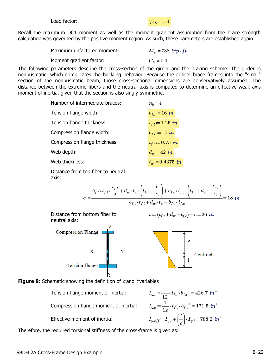Load factor:  $\gamma_{CI} := 1.4$ 

#### Recall the maximum DC1 moment as well as the moment gradient assumption from the brace strength calculation was governed by the positive moment region. As such, these parameters are established again.

| Maximum unfactored moment: | $M_r = 738$ kip $\cdot$ ft |
|----------------------------|----------------------------|
| Moment gradient factor:    | $C_b = 1.0$                |
|                            |                            |

The following parameters describe the cross-section of the girder and the bracing scheme. The girder is nonprismatic, which complicates the buckling behavior. Because the critical brace frames into the "small" section of the nonprismatic beam, those cross-sectional dimensions are conservatively assumed. The distance between the extreme fibers and the neutral axis is computed to determine an effective weak-axis moment of inertia, given that the section is also singly-symmetric.

| Number of intermediate braces: | $n_h = 4$           |
|--------------------------------|---------------------|
| Tension flange width:          | $b_{f,t} = 16$ in   |
| Tension flange thickness:      | $t_{f.t} = 1.25$ in |
| Compression flange width:      | $b_{f,c} = 14$ in   |
| Compression flange thickness:  | $t_{f,c} = 0.75$ in |
| Web depth:                     | $d_w = 42$ in       |
| Web thickness:                 | $t_w = 0.4375$ in   |
|                                |                     |

Distance from top fiber to neutral axis:

$$
b_{f,t} \cdot t_{f,t} \cdot \frac{t_{f,t}}{2} + d_w \cdot t_w \cdot \left(t_{f,t} + \frac{d_w}{2}\right) + b_{f,c} \cdot t_{f,c} \cdot \left(t_{f,t} + d_w + \frac{t_{f,c}}{2}\right)
$$
\n
$$
c := \frac{b_{f,t} \cdot t_{f,t} + d_w \cdot t_w + b_{f,c} \cdot t_{f,c}}{b_{f,t} \cdot t_{f,t} + d_w \cdot t_w + b_{f,c} \cdot t_{f,c}}
$$
\nDistance from bottom fiber to neutral axis:

\nCompression Flange

\n
$$
\frac{X}{\frac{X}{\frac{X}{\frac{1}{X}}}} \cdot \frac{X}{\frac{X}{\frac{1}{\frac{1}{X}}}}
$$
\nFunction flange

\nematic showing the definition of *c* and *t* variables

rad Non-Commercial Use Only

**Figure 8: Schematic s** 

Compression flange moment of inertia:  $I_{y.c} = \frac{1}{12} \cdot t_{f.c} \cdot b_{f.c}^3 =$ 

Tension flange moment of inertia:  $I_{y.t} \coloneqq \frac{1}{12} \cdot t_{f.t} \cdot b_{f.t}{}^{3} = 426.7 \,\, in^{4}$  $\frac{1}{1}$  $t_{f.c} \cdot b_{f.c}^3 = 171.5 \text{ in}^4$ Effective moment of inertia:  $I_{y.eff} \! := \! I_{y.c} \! + \! \left(\frac{t}{c}\right) \!\cdot \! I_{y.t} \! = \!$ ⎞  $\int$   $\cdot$   $I_{y.t}$  = 788.2 in<sup>4</sup>

 $^{\prime}$ 

Therefore, the required torsional stiffness of the cross-frame is given as: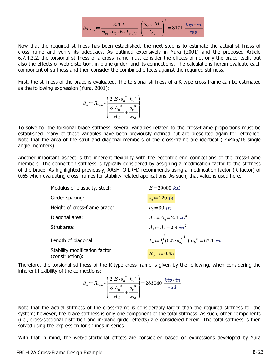$$
\beta_{Treq} \coloneqq \frac{3.6 \; L}{\phi_{br} \boldsymbol{\cdot} n_b \boldsymbol{\cdot} E \boldsymbol{\cdot} I_{y. eff}} \boldsymbol{\cdot} \left(\frac{\gamma_{CL} \boldsymbol{\cdot} M_r}{C_b}\right)^2 = 8171 \; \frac{\textit{kip} \cdot \textit{in}}{\textit{rad}}
$$

Now that the required stiffness has been established, the next step is to estimate the actual stiffness of cross-frame and verify its adequacy. As outlined extensively in Yura (2001) and the proposed Article 6.7.4.2.2, the torsional stiffness of a cross-frame must consider the effects of not only the brace itself, but also the effects of web distortion, in-plane girder, and its connections. The calculations herein evaluate each component of stiffness and then consider the combined effects against the required stiffness.

First, the stiffness of the brace is evaluated. The torsional stiffness of a K-type cross-frame can be estimated as the following expression (Yura, 2001):

$$
\beta_b := R_{con} \cdot \left( \frac{2 \ E \cdot s_g^{2} \ h_b^{2}}{8 \ L_d^{3}} + \frac{s_g^{3}}{A_s} \right)
$$

To solve for the torsional brace stiffness, several variables related to the cross-frame proportions must be established. Many of these variables have been previously defined but are presented again for reference. Note that the area of the strut and diagonal members of the cross-frame are identical (L4x4x5/16 single angle members).

Another important aspect is the inherent flexibility with the eccentric end connections of the cross-frame members. The connection stiffness is typically considered by assigning a modification factor to the stiffness of the brace. As highlighted previously, AASHTO LRFD recommends using a modification factor (R-factor) of 0.65 when evaluating cross-frames for stability-related applications. As such, that value is used here.

| Modulus of elasticity, steel:                    | $E = 29000$ ksi                                                    |
|--------------------------------------------------|--------------------------------------------------------------------|
| Girder spacing:                                  | $s_q = 120$ in                                                     |
| Height of cross-frame brace:                     | $h_b = 30$ in                                                      |
| Diagonal area:                                   | $A_d = A_q = 2.4$ in <sup>2</sup>                                  |
| Strut area:                                      | $A_s = A_q = 2.4$ in <sup>2</sup>                                  |
| Length of diagonal:                              | $L_d \coloneqq \sqrt{(0.5 \cdot s_q)^2 + h_b^2} = 67.1 \text{ in}$ |
| Stability modification factor<br>(construction): | $R_{con} = 0.65$                                                   |

Therefore, the torsional stiffness of the K-type cross-frame is given by the following, when considering the inherent flexibility of the connections:

$$
\beta_b := R_{con} \cdot \left( \frac{2 E \cdot s_g^2 h_b^2}{8 L_d^3 + \frac{s_g^3}{A_s}} \right) = 283040 \frac{kip \cdot in}{rad}
$$

Note that the actual stiffness of the cross-frame is considerably larger than the required stiffness for the system; however, the brace stiffness is only one component of the total stiffness. As such, other components (i.e., cross-sectional distortion and in-plane girder effects) are considered herein. The total stiffness is then solved using the expression for springs in series.

With that in mind, the web-distortional effects are considered based on expressions developed by Yura

 $\_$  , and the set of the set of the set of the set of the set of the set of the set of the set of the set of the set of the set of the set of the set of the set of the set of the set of the set of the set of the set of th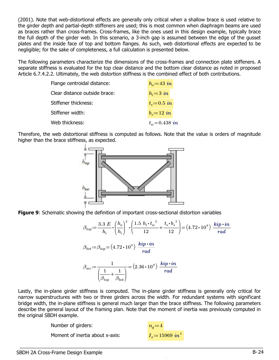(2001). Note that web-distortional effects are generally only critical when a shallow brace is used relative to the girder depth and partial-depth stiffeners are used; this is most common when diaphragm beams are used as braces rather than cross-frames. Cross-frames, like the ones used in this design example, typically brace the full depth of the girder web. In this scenario, a 3-inch gap is assumed between the edge of the gusset plates and the inside face of top and bottom flanges. As such, web distortional effects are expected to be negligible; for the sake of completeness, a full calculation is presented below.

The following parameters characterize the dimensions of the cross-frames and connection plate stiffeners. A separate stiffness is evaluated for the top clear distance and the bottom clear distance as noted in proposed Article 6.7.4.2.2. Ultimately, the web distortion stiffness is the combined effect of both contributions.

| Flange centroidal distance:   | $h_o = 43$ in    |
|-------------------------------|------------------|
| Clear distance outside brace: | $h_i = 3$ in     |
| Stiffener thickness:          | $t_s = 0.5$ in   |
| Stiffener width:              | $b_s = 12$ in    |
| Web thickness:                | $t_w = 0.438$ in |
|                               |                  |

Therefore, the web distortional stiffness is computed as follows. Note that the value is orders of magnitude higher than the brace stiffness, as expected.



Figure 9: Schematic showing the definition of important cross-sectional distortion variables

$$
\beta_{top} = \frac{3.3 \ E}{h_i} \cdot \left(\frac{h_o}{h_i}\right)^2 \cdot \left(\frac{1.5 \ h_i \cdot t_w^3}{12} + \frac{t_s \cdot b_s^3}{12}\right) = (4.72 \cdot 10^8) \ \frac{kip \cdot in}{rad}
$$
\n
$$
\beta_{bot} := \beta_{top} = (4.72 \cdot 10^8) \ \frac{kip \cdot in}{rad}
$$
\n
$$
\beta_{sec} := \frac{1}{\left(\frac{1}{\beta_{top}} + \frac{1}{\beta_{bot}}\right)} = (2.36 \cdot 10^8) \ \frac{kip \cdot in}{rad}
$$

 $\overline{a}$ 

Lastly, the in-plane girder stiffness is computed. The in-plane girder stiffness is generally only critical for narrow superstructures with two or three girders across the width. For redundant systems with significant bridge width, the in-plane stiffness is general much larger than the brace stiffness. The following parameters describe the general layout of the framing plan. Note that the moment of inertia was previously computed in the original SBDH example.

Non-Commercial Use Only

 $\_$  , and the set of the set of the set of the set of the set of the set of the set of the set of the set of the set of the set of the set of the set of the set of the set of the set of the set of the set of the set of th

 $^{\prime}$ 

Number of girders: Moment of inertia about x-axis:  $I_r = 15969$  in<sup>4</sup>

 $\overline{\phantom{a}}$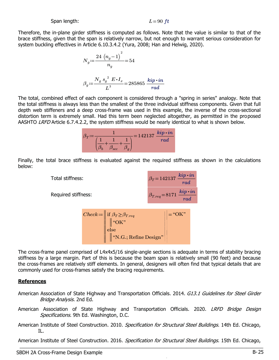#### Span length:  $L=90$  ft

Therefore, the in-plane girder stiffness is computed as follows. Note that the value is similar to that of the brace stiffness, given that the span is relatively narrow, but not enough to warrant serious consideration for system buckling effectives in Article 6.10.3.4.2 (Yura, 2008; Han and Helwig, 2020).

$$
N_g \coloneqq \frac{24 (n_g - 1)^2}{n_g} = 54
$$
  

$$
\beta_g \coloneqq \frac{N_g s_g^2 E \cdot I_x}{L^3} = 285865 \frac{kip \cdot in}{rad}
$$

The total, combined effect of each component is considered through a "spring in series" analogy. Note that the total stiffness is always less than the smallest of the three individual stiffness components. Given that full depth web stiffeners and a deep cross-frame was used in this example, the inverse of the cross-sectional distortion term is extremely small. Had this term been neglected altogether, as permitted in the proposed AASHTO LRFD Article 6.7.4.2.2, the system stiffness would be nearly identical to what is shown below.

|  |     | $= 142137$ $kip \cdot in$ |
|--|-----|---------------------------|
|  |     | $\boldsymbol{rad}$        |
|  | sec |                           |
|  |     |                           |

Finally, the total brace stiffness is evaluated against the required stiffness as shown in the calculations below:



Check:=\n
$$
\left\| \begin{array}{c}\n \text{if } \beta_T \geq \beta_{Treq} \\
\text{``OK"} \\
\text{else} \\
\text{``N.G.; Refine Design"}\n\end{array} \right\} = \text{``OK"}
$$

The cross-frame panel comprised of L4x4x5/16 single-angle sections is adequate in terms of stability bracing stiffness by a large margin. Part of this is because the beam span is relatively small (90 feet) and because the cross-frames are relatively stiff elements. In general, designers will often find that typical details that are commonly used for cross-frames satisfy the bracing requirements.

#### **References**

- American Association of State Highway and Transportation Officials. 2014. G13.1 Guidelines for Steel Girder Bridge Analysis. 2nd Ed.
- American Association of State Highway and Transportation Officials. 2020. LRFD Bridge Design Specifications. 9th Ed. Washington, D.C.
- American Institute of Steel Construction. 2010. Specification for Structural Steel Buildings. 14th Ed. Chicago, IL.

American Institute of Steel Construction. 2016. Specification for Structural Steel Buildings. 15th Ed. Chicago, \_\_\_\_\_\_\_\_\_\_\_\_\_\_\_\_\_\_\_\_\_\_\_\_\_\_\_\_\_\_\_\_\_\_\_\_\_\_\_\_\_\_\_\_\_\_\_\_\_\_\_\_\_\_\_\_\_\_\_\_\_\_\_\_\_\_\_\_\_\_\_\_\_\_\_\_\_\_\_\_\_\_\_\_\_\_\_\_\_ 1